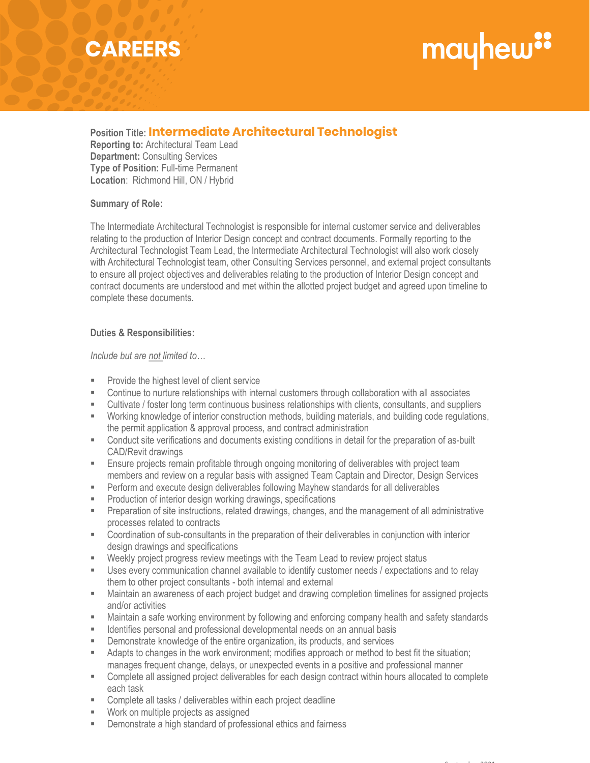## **CAREERS**

## mayhew"

### **Position Title: Intermediate Architectural Technologist Intermediate Architectural Technologist**

**Reporting to:** Architectural Team Lead **Department:** Consulting Services **Type of Position:** Full-time Permanent **Location**: Richmond Hill, ON / Hybrid

#### **Summary of Role:**

The Intermediate Architectural Technologist is responsible for internal customer service and deliverables relating to the production of Interior Design concept and contract documents. Formally reporting to the Architectural Technologist Team Lead, the Intermediate Architectural Technologist will also work closely with Architectural Technologist team, other Consulting Services personnel, and external project consultants to ensure all project objectives and deliverables relating to the production of Interior Design concept and contract documents are understood and met within the allotted project budget and agreed upon timeline to complete these documents.

#### **Duties & Responsibilities:**

#### *Include but are not limited to…*

- **Provide the highest level of client service**
- Continue to nurture relationships with internal customers through collaboration with all associates
- Cultivate / foster long term continuous business relationships with clients, consultants, and suppliers
- Working knowledge of interior construction methods, building materials, and building code regulations, the permit application & approval process, and contract administration
- Conduct site verifications and documents existing conditions in detail for the preparation of as-built CAD/Revit drawings
- **Ensure projects remain profitable through ongoing monitoring of deliverables with project team** members and review on a regular basis with assigned Team Captain and Director, Design Services
- **Perform and execute design deliverables following Mayhew standards for all deliverables**
- **Production of interior design working drawings, specifications**
- Preparation of site instructions, related drawings, changes, and the management of all administrative processes related to contracts
- Coordination of sub-consultants in the preparation of their deliverables in conjunction with interior design drawings and specifications
- Weekly project progress review meetings with the Team Lead to review project status
- Uses every communication channel available to identify customer needs / expectations and to relay them to other project consultants - both internal and external
- Maintain an awareness of each project budget and drawing completion timelines for assigned projects and/or activities
- Maintain a safe working environment by following and enforcing company health and safety standards
- Identifies personal and professional developmental needs on an annual basis
- Demonstrate knowledge of the entire organization, its products, and services
- Adapts to changes in the work environment; modifies approach or method to best fit the situation; manages frequent change, delays, or unexpected events in a positive and professional manner
- Complete all assigned project deliverables for each design contract within hours allocated to complete each task
- Complete all tasks / deliverables within each project deadline
- Work on multiple projects as assigned
- **EXECUTE:** Demonstrate a high standard of professional ethics and fairness